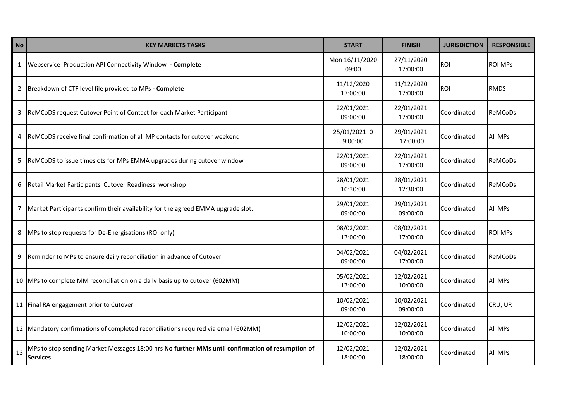| <b>No</b> | <b>KEY MARKETS TASKS</b>                                                                                            | <b>START</b>            | <b>FINISH</b>          | <b>JURISDICTION</b> | <b>RESPONSIBLE</b> |
|-----------|---------------------------------------------------------------------------------------------------------------------|-------------------------|------------------------|---------------------|--------------------|
| 1         | Webservice Production API Connectivity Window - Complete                                                            | Mon 16/11/2020<br>09:00 | 27/11/2020<br>17:00:00 | <b>ROI</b>          | <b>ROI MPS</b>     |
| 2         | Breakdown of CTF level file provided to MPs - Complete                                                              | 11/12/2020<br>17:00:00  | 11/12/2020<br>17:00:00 | <b>ROI</b>          | <b>RMDS</b>        |
| 3         | ReMCoDS request Cutover Point of Contact for each Market Participant                                                | 22/01/2021<br>09:00:00  | 22/01/2021<br>17:00:00 | Coordinated         | ReMCoDs            |
| 4         | ReMCoDS receive final confirmation of all MP contacts for cutover weekend                                           | 25/01/2021 0<br>9:00:00 | 29/01/2021<br>17:00:00 | Coordinated         | All MPs            |
| -5        | ReMCoDS to issue timeslots for MPs EMMA upgrades during cutover window                                              | 22/01/2021<br>09:00:00  | 22/01/2021<br>17:00:00 | Coordinated         | ReMCoDs            |
| 6         | Retail Market Participants Cutover Readiness workshop                                                               | 28/01/2021<br>10:30:00  | 28/01/2021<br>12:30:00 | Coordinated         | ReMCoDs            |
|           | Market Participants confirm their availability for the agreed EMMA upgrade slot.                                    | 29/01/2021<br>09:00:00  | 29/01/2021<br>09:00:00 | Coordinated         | All MPs            |
| 8         | MPs to stop requests for De-Energisations (ROI only)                                                                | 08/02/2021<br>17:00:00  | 08/02/2021<br>17:00:00 | Coordinated         | <b>ROI MPs</b>     |
| 9         | Reminder to MPs to ensure daily reconciliation in advance of Cutover                                                | 04/02/2021<br>09:00:00  | 04/02/2021<br>17:00:00 | Coordinated         | ReMCoDs            |
|           | 10 MPs to complete MM reconciliation on a daily basis up to cutover (602MM)                                         | 05/02/2021<br>17:00:00  | 12/02/2021<br>10:00:00 | Coordinated         | All MPs            |
|           | 11 Final RA engagement prior to Cutover                                                                             | 10/02/2021<br>09:00:00  | 10/02/2021<br>09:00:00 | Coordinated         | CRU, UR            |
|           | 12 Mandatory confirmations of completed reconciliations required via email (602MM)                                  | 12/02/2021<br>10:00:00  | 12/02/2021<br>10:00:00 | Coordinated         | All MPs            |
| 13        | MPs to stop sending Market Messages 18:00 hrs No further MMs until confirmation of resumption of<br><b>Services</b> | 12/02/2021<br>18:00:00  | 12/02/2021<br>18:00:00 | Coordinated         | All MPs            |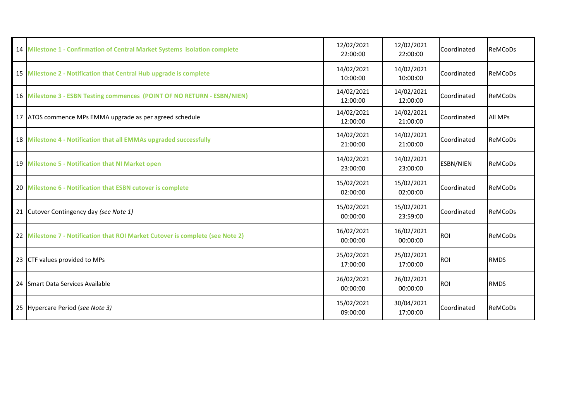|    | 14 Milestone 1 - Confirmation of Central Market Systems isolation complete     | 12/02/2021<br>22:00:00 | 12/02/2021<br>22:00:00 | Coordinated      | ReMCoDs        |
|----|--------------------------------------------------------------------------------|------------------------|------------------------|------------------|----------------|
|    | 15 Milestone 2 - Notification that Central Hub upgrade is complete             | 14/02/2021<br>10:00:00 | 14/02/2021<br>10:00:00 | Coordinated      | ReMCoDs        |
|    | 16 Milestone 3 - ESBN Testing commences (POINT OF NO RETURN - ESBN/NIEN)       | 14/02/2021<br>12:00:00 | 14/02/2021<br>12:00:00 | Coordinated      | <b>ReMCoDs</b> |
|    | 17 ATOS commence MPs EMMA upgrade as per agreed schedule                       | 14/02/2021<br>12:00:00 | 14/02/2021<br>21:00:00 | Coordinated      | All MPs        |
|    | 18 Milestone 4 - Notification that all EMMAs upgraded successfully             | 14/02/2021<br>21:00:00 | 14/02/2021<br>21:00:00 | Coordinated      | <b>ReMCoDs</b> |
|    | 19 Milestone 5 - Notification that NI Market open                              | 14/02/2021<br>23:00:00 | 14/02/2021<br>23:00:00 | <b>ESBN/NIEN</b> | <b>ReMCoDs</b> |
|    | 20 Milestone 6 - Notification that ESBN cutover is complete                    | 15/02/2021<br>02:00:00 | 15/02/2021<br>02:00:00 | Coordinated      | <b>ReMCoDs</b> |
|    | 21 Cutover Contingency day (see Note 1)                                        | 15/02/2021<br>00:00:00 | 15/02/2021<br>23:59:00 | Coordinated      | ReMCoDs        |
|    | 22 Milestone 7 - Notification that ROI Market Cutover is complete (see Note 2) | 16/02/2021<br>00:00:00 | 16/02/2021<br>00:00:00 | <b>ROI</b>       | ReMCoDs        |
| 23 | CTF values provided to MPs                                                     | 25/02/2021<br>17:00:00 | 25/02/2021<br>17:00:00 | <b>ROI</b>       | <b>RMDS</b>    |
| 24 | Smart Data Services Available                                                  | 26/02/2021<br>00:00:00 | 26/02/2021<br>00:00:00 | <b>ROI</b>       | <b>RMDS</b>    |
|    | 25 Hypercare Period (see Note 3)                                               | 15/02/2021<br>09:00:00 | 30/04/2021<br>17:00:00 | Coordinated      | ReMCoDs        |